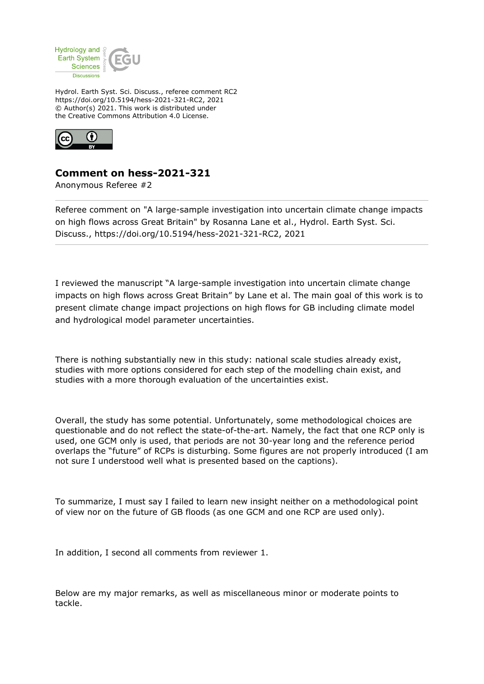

Hydrol. Earth Syst. Sci. Discuss., referee comment RC2 https://doi.org/10.5194/hess-2021-321-RC2, 2021 © Author(s) 2021. This work is distributed under the Creative Commons Attribution 4.0 License.



## **Comment on hess-2021-321**

Anonymous Referee #2

Referee comment on "A large-sample investigation into uncertain climate change impacts on high flows across Great Britain" by Rosanna Lane et al., Hydrol. Earth Syst. Sci. Discuss., https://doi.org/10.5194/hess-2021-321-RC2, 2021

I reviewed the manuscript "A large-sample investigation into uncertain climate change impacts on high flows across Great Britain" by Lane et al. The main goal of this work is to present climate change impact projections on high flows for GB including climate model and hydrological model parameter uncertainties.

There is nothing substantially new in this study: national scale studies already exist, studies with more options considered for each step of the modelling chain exist, and studies with a more thorough evaluation of the uncertainties exist.

Overall, the study has some potential. Unfortunately, some methodological choices are questionable and do not reflect the state-of-the-art. Namely, the fact that one RCP only is used, one GCM only is used, that periods are not 30-year long and the reference period overlaps the "future" of RCPs is disturbing. Some figures are not properly introduced (I am not sure I understood well what is presented based on the captions).

To summarize, I must say I failed to learn new insight neither on a methodological point of view nor on the future of GB floods (as one GCM and one RCP are used only).

In addition, I second all comments from reviewer 1.

Below are my major remarks, as well as miscellaneous minor or moderate points to tackle.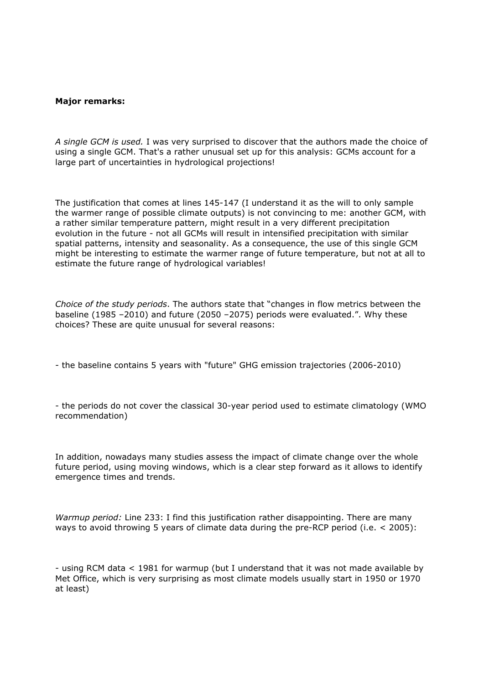## **Major remarks:**

*A single GCM is used.* I was very surprised to discover that the authors made the choice of using a single GCM. That's a rather unusual set up for this analysis: GCMs account for a large part of uncertainties in hydrological projections!

The justification that comes at lines 145-147 (I understand it as the will to only sample the warmer range of possible climate outputs) is not convincing to me: another GCM, with a rather similar temperature pattern, might result in a very different precipitation evolution in the future - not all GCMs will result in intensified precipitation with similar spatial patterns, intensity and seasonality. As a consequence, the use of this single GCM might be interesting to estimate the warmer range of future temperature, but not at all to estimate the future range of hydrological variables!

*Choice of the study periods*. The authors state that "changes in flow metrics between the baseline (1985 –2010) and future (2050 –2075) periods were evaluated.". Why these choices? These are quite unusual for several reasons:

- the baseline contains 5 years with "future" GHG emission trajectories (2006-2010)

- the periods do not cover the classical 30-year period used to estimate climatology (WMO recommendation)

In addition, nowadays many studies assess the impact of climate change over the whole future period, using moving windows, which is a clear step forward as it allows to identify emergence times and trends.

*Warmup period:* Line 233: I find this justification rather disappointing. There are many ways to avoid throwing 5 years of climate data during the pre-RCP period (i.e. < 2005):

- using RCM data < 1981 for warmup (but I understand that it was not made available by Met Office, which is very surprising as most climate models usually start in 1950 or 1970 at least)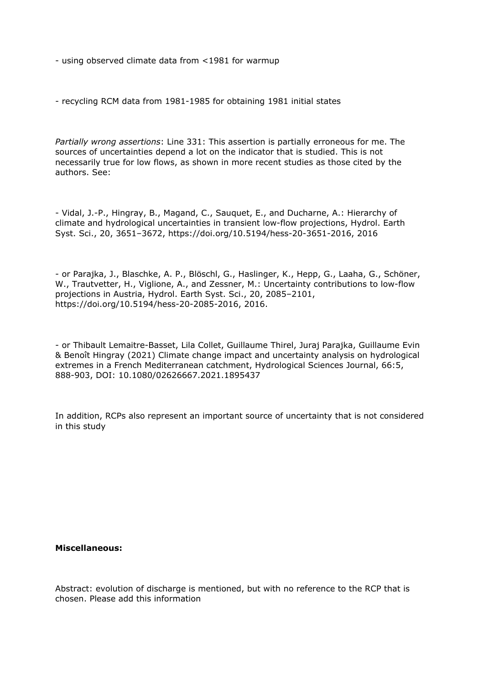- using observed climate data from <1981 for warmup

- recycling RCM data from 1981-1985 for obtaining 1981 initial states

*Partially wrong assertions*: Line 331: This assertion is partially erroneous for me. The sources of uncertainties depend a lot on the indicator that is studied. This is not necessarily true for low flows, as shown in more recent studies as those cited by the authors. See:

- Vidal, J.-P., Hingray, B., Magand, C., Sauquet, E., and Ducharne, A.: Hierarchy of climate and hydrological uncertainties in transient low-flow projections, Hydrol. Earth Syst. Sci., 20, 3651–3672, https://doi.org/10.5194/hess-20-3651-2016, 2016

- or Parajka, J., Blaschke, A. P., Blöschl, G., Haslinger, K., Hepp, G., Laaha, G., Schöner, W., Trautvetter, H., Viglione, A., and Zessner, M.: Uncertainty contributions to low-flow projections in Austria, Hydrol. Earth Syst. Sci., 20, 2085–2101, https://doi.org/10.5194/hess-20-2085-2016, 2016.

- or Thibault Lemaitre-Basset, Lila Collet, Guillaume Thirel, Juraj Parajka, Guillaume Evin & Benoît Hingray (2021) Climate change impact and uncertainty analysis on hydrological extremes in a French Mediterranean catchment, Hydrological Sciences Journal, 66:5, 888-903, DOI: 10.1080/02626667.2021.1895437

In addition, RCPs also represent an important source of uncertainty that is not considered in this study

## **Miscellaneous:**

Abstract: evolution of discharge is mentioned, but with no reference to the RCP that is chosen. Please add this information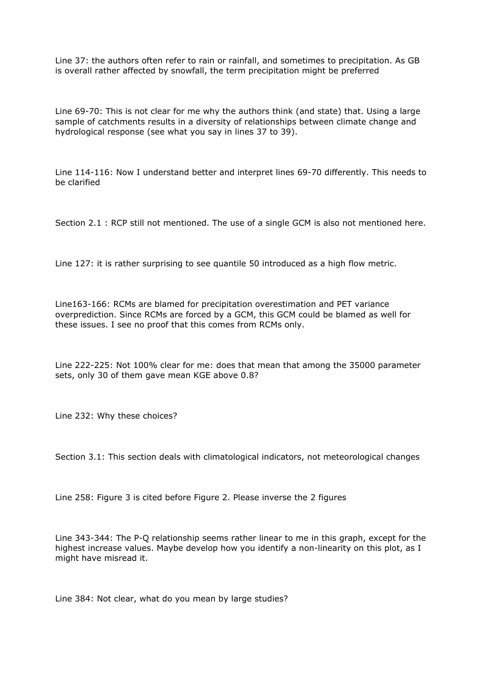Line 37: the authors often refer to rain or rainfall, and sometimes to precipitation. As GB is overall rather affected by snowfall, the term precipitation might be preferred

Line 69-70: This is not clear for me why the authors think (and state) that. Using a large sample of catchments results in a diversity of relationships between climate change and hydrological response (see what you say in lines 37 to 39).

Line 114-116: Now I understand better and interpret lines 69-70 differently. This needs to be clarified

Section 2.1 : RCP still not mentioned. The use of a single GCM is also not mentioned here.

Line 127: it is rather surprising to see quantile 50 introduced as a high flow metric.

Line163-166: RCMs are blamed for precipitation overestimation and PET variance overprediction. Since RCMs are forced by a GCM, this GCM could be blamed as well for these issues. I see no proof that this comes from RCMs only.

Line 222-225: Not 100% clear for me: does that mean that among the 35000 parameter sets, only 30 of them gave mean KGE above 0.8?

Line 232: Why these choices?

Section 3.1: This section deals with climatological indicators, not meteorological changes

Line 258: Figure 3 is cited before Figure 2. Please inverse the 2 figures

Line 343-344: The P-Q relationship seems rather linear to me in this graph, except for the highest increase values. Maybe develop how you identify a non-linearity on this plot, as I might have misread it.

Line 384: Not clear, what do you mean by large studies?